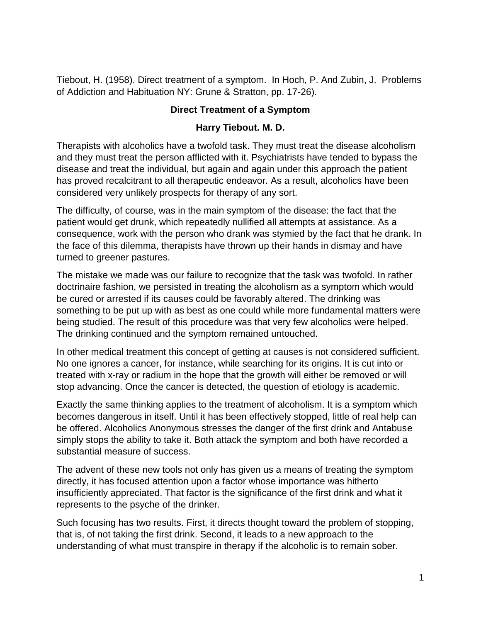Tiebout, H. (1958). Direct treatment of a symptom. In Hoch, P. And Zubin, J. Problems of Addiction and Habituation NY: Grune & Stratton, pp. 17-26).

# **Direct Treatment of a Symptom**

## **Harry Tiebout. M. D.**

Therapists with alcoholics have a twofold task. They must treat the disease alcoholism and they must treat the person afflicted with it. Psychiatrists have tended to bypass the disease and treat the individual, but again and again under this approach the patient has proved recalcitrant to all therapeutic endeavor. As a result, alcoholics have been considered very unlikely prospects for therapy of any sort.

The difficulty, of course, was in the main symptom of the disease: the fact that the patient would get drunk, which repeatedly nullified all attempts at assistance. As a consequence, work with the person who drank was stymied by the fact that he drank. In the face of this dilemma, therapists have thrown up their hands in dismay and have turned to greener pastures.

The mistake we made was our failure to recognize that the task was twofold. In rather doctrinaire fashion, we persisted in treating the alcoholism as a symptom which would be cured or arrested if its causes could be favorably altered. The drinking was something to be put up with as best as one could while more fundamental matters were being studied. The result of this procedure was that very few alcoholics were helped. The drinking continued and the symptom remained untouched.

In other medical treatment this concept of getting at causes is not considered sufficient. No one ignores a cancer, for instance, while searching for its origins. It is cut into or treated with x-ray or radium in the hope that the growth will either be removed or will stop advancing. Once the cancer is detected, the question of etiology is academic.

Exactly the same thinking applies to the treatment of alcoholism. It is a symptom which becomes dangerous in itself. Until it has been effectively stopped, little of real help can be offered. Alcoholics Anonymous stresses the danger of the first drink and Antabuse simply stops the ability to take it. Both attack the symptom and both have recorded a substantial measure of success.

The advent of these new tools not only has given us a means of treating the symptom directly, it has focused attention upon a factor whose importance was hitherto insufficiently appreciated. That factor is the significance of the first drink and what it represents to the psyche of the drinker.

Such focusing has two results. First, it directs thought toward the problem of stopping, that is, of not taking the first drink. Second, it leads to a new approach to the understanding of what must transpire in therapy if the alcoholic is to remain sober.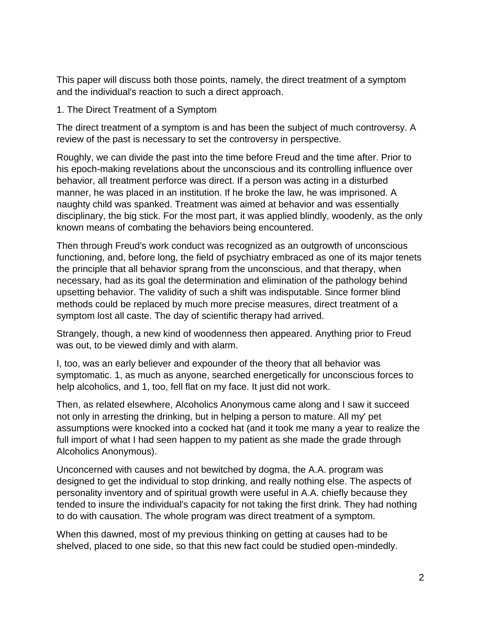This paper will discuss both those points, namely, the direct treatment of a symptom and the individual's reaction to such a direct approach.

#### 1. The Direct Treatment of a Symptom

The direct treatment of a symptom is and has been the subject of much controversy. A review of the past is necessary to set the controversy in perspective.

Roughly, we can divide the past into the time before Freud and the time after. Prior to his epoch-making revelations about the unconscious and its controlling influence over behavior, all treatment perforce was direct. If a person was acting in a disturbed manner, he was placed in an institution. If he broke the law, he was imprisoned. A naughty child was spanked. Treatment was aimed at behavior and was essentially disciplinary, the big stick. For the most part, it was applied blindly, woodenly, as the only known means of combating the behaviors being encountered.

Then through Freud's work conduct was recognized as an outgrowth of unconscious functioning, and, before long, the field of psychiatry embraced as one of its major tenets the principle that all behavior sprang from the unconscious, and that therapy, when necessary, had as its goal the determination and elimination of the pathology behind upsetting behavior. The validity of such a shift was indisputable. Since former blind methods could be replaced by much more precise measures, direct treatment of a symptom lost all caste. The day of scientific therapy had arrived.

Strangely, though, a new kind of woodenness then appeared. Anything prior to Freud was out, to be viewed dimly and with alarm.

I, too, was an early believer and expounder of the theory that all behavior was symptomatic. 1, as much as anyone, searched energetically for unconscious forces to help alcoholics, and 1, too, fell flat on my face. It just did not work.

Then, as related elsewhere, Alcoholics Anonymous came along and I saw it succeed not only in arresting the drinking, but in helping a person to mature. All my' pet assumptions were knocked into a cocked hat (and it took me many a year to realize the full import of what I had seen happen to my patient as she made the grade through Alcoholics Anonymous).

Unconcerned with causes and not bewitched by dogma, the A.A. program was designed to get the individual to stop drinking, and really nothing else. The aspects of personality inventory and of spiritual growth were useful in A.A. chiefly because they tended to insure the individual's capacity for not taking the first drink. They had nothing to do with causation. The whole program was direct treatment of a symptom.

When this dawned, most of my previous thinking on getting at causes had to be shelved, placed to one side, so that this new fact could be studied open-mindedly.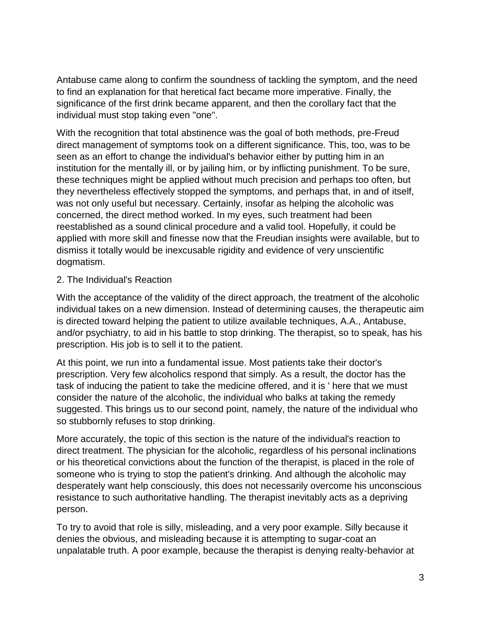Antabuse came along to confirm the soundness of tackling the symptom, and the need to find an explanation for that heretical fact became more imperative. Finally, the significance of the first drink became apparent, and then the corollary fact that the individual must stop taking even "one".

With the recognition that total abstinence was the goal of both methods, pre-Freud direct management of symptoms took on a different significance. This, too, was to be seen as an effort to change the individual's behavior either by putting him in an institution for the mentally ill, or by jailing him, or by inflicting punishment. To be sure, these techniques might be applied without much precision and perhaps too often, but they nevertheless effectively stopped the symptoms, and perhaps that, in and of itself, was not only useful but necessary. Certainly, insofar as helping the alcoholic was concerned, the direct method worked. In my eyes, such treatment had been reestablished as a sound clinical procedure and a valid tool. Hopefully, it could be applied with more skill and finesse now that the Freudian insights were available, but to dismiss it totally would be inexcusable rigidity and evidence of very unscientific dogmatism.

#### 2. The Individual's Reaction

With the acceptance of the validity of the direct approach, the treatment of the alcoholic individual takes on a new dimension. Instead of determining causes, the therapeutic aim is directed toward helping the patient to utilize available techniques, A.A., Antabuse, and/or psychiatry, to aid in his battle to stop drinking. The therapist, so to speak, has his prescription. His job is to sell it to the patient.

At this point, we run into a fundamental issue. Most patients take their doctor's prescription. Very few alcoholics respond that simply. As a result, the doctor has the task of inducing the patient to take the medicine offered, and it is ' here that we must consider the nature of the alcoholic, the individual who balks at taking the remedy suggested. This brings us to our second point, namely, the nature of the individual who so stubbornly refuses to stop drinking.

More accurately, the topic of this section is the nature of the individual's reaction to direct treatment. The physician for the alcoholic, regardless of his personal inclinations or his theoretical convictions about the function of the therapist, is placed in the role of someone who is trying to stop the patient's drinking. And although the alcoholic may desperately want help consciously, this does not necessarily overcome his unconscious resistance to such authoritative handling. The therapist inevitably acts as a depriving person.

To try to avoid that role is silly, misleading, and a very poor example. Silly because it denies the obvious, and misleading because it is attempting to sugar-coat an unpalatable truth. A poor example, because the therapist is denying realty-behavior at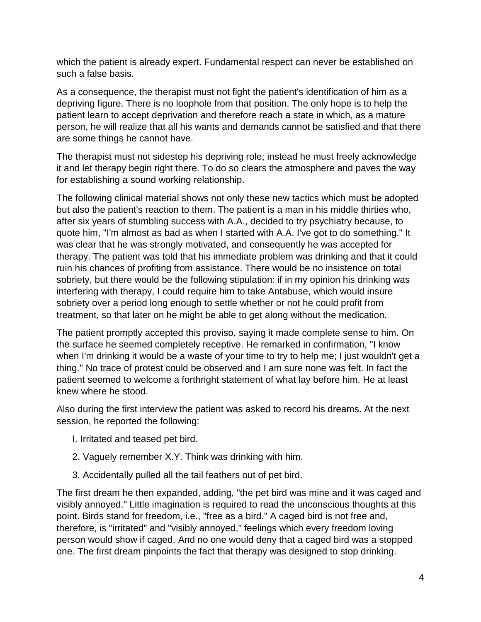which the patient is already expert. Fundamental respect can never be established on such a false basis.

As a consequence, the therapist must not fight the patient's identification of him as a depriving figure. There is no loophole from that position. The only hope is to help the patient learn to accept deprivation and therefore reach a state in which, as a mature person, he will realize that all his wants and demands cannot be satisfied and that there are some things he cannot have.

The therapist must not sidestep his depriving role; instead he must freely acknowledge it and let therapy begin right there. To do so clears the atmosphere and paves the way for establishing a sound working relationship.

The following clinical material shows not only these new tactics which must be adopted but also the patient's reaction to them. The patient is a man in his middle thirties who, after six years of stumbling success with A.A., decided to try psychiatry because, to quote him, "I'm almost as bad as when I started with A.A. I've got to do something." It was clear that he was strongly motivated, and consequently he was accepted for therapy. The patient was told that his immediate problem was drinking and that it could ruin his chances of profiting from assistance. There would be no insistence on total sobriety, but there would be the following stipulation: if in my opinion his drinking was interfering with therapy, I could require him to take Antabuse, which would insure sobriety over a period long enough to settle whether or not he could profit from treatment, so that later on he might be able to get along without the medication.

The patient promptly accepted this proviso, saying it made complete sense to him. On the surface he seemed completely receptive. He remarked in confirmation, "I know when I'm drinking it would be a waste of your time to try to help me; I just wouldn't get a thing." No trace of protest could be observed and I am sure none was felt. In fact the patient seemed to welcome a forthright statement of what lay before him. He at least knew where he stood.

Also during the first interview the patient was asked to record his dreams. At the next session, he reported the following:

- I. Irritated and teased pet bird.
- 2. Vaguely remember X.Y. Think was drinking with him.
- 3. Accidentally pulled all the tail feathers out of pet bird.

The first dream he then expanded, adding, "the pet bird was mine and it was caged and visibly annoyed." Little imagination is required to read the unconscious thoughts at this point. Birds stand for freedom, i.e., "free as a bird." A caged bird is not free and, therefore, is "irritated" and "visibly annoyed," feelings which every freedom loving person would show if caged. And no one would deny that a caged bird was a stopped one. The first dream pinpoints the fact that therapy was designed to stop drinking.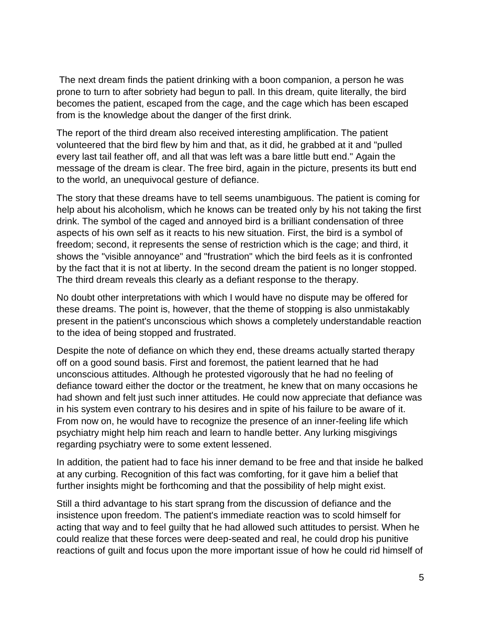The next dream finds the patient drinking with a boon companion, a person he was prone to turn to after sobriety had begun to pall. In this dream, quite literally, the bird becomes the patient, escaped from the cage, and the cage which has been escaped from is the knowledge about the danger of the first drink.

The report of the third dream also received interesting amplification. The patient volunteered that the bird flew by him and that, as it did, he grabbed at it and "pulled every last tail feather off, and all that was left was a bare little butt end." Again the message of the dream is clear. The free bird, again in the picture, presents its butt end to the world, an unequivocal gesture of defiance.

The story that these dreams have to tell seems unambiguous. The patient is coming for help about his alcoholism, which he knows can be treated only by his not taking the first drink. The symbol of the caged and annoyed bird is a brilliant condensation of three aspects of his own self as it reacts to his new situation. First, the bird is a symbol of freedom; second, it represents the sense of restriction which is the cage; and third, it shows the "visible annoyance" and "frustration" which the bird feels as it is confronted by the fact that it is not at liberty. In the second dream the patient is no longer stopped. The third dream reveals this clearly as a defiant response to the therapy.

No doubt other interpretations with which I would have no dispute may be offered for these dreams. The point is, however, that the theme of stopping is also unmistakably present in the patient's unconscious which shows a completely understandable reaction to the idea of being stopped and frustrated.

Despite the note of defiance on which they end, these dreams actually started therapy off on a good sound basis. First and foremost, the patient learned that he had unconscious attitudes. Although he protested vigorously that he had no feeling of defiance toward either the doctor or the treatment, he knew that on many occasions he had shown and felt just such inner attitudes. He could now appreciate that defiance was in his system even contrary to his desires and in spite of his failure to be aware of it. From now on, he would have to recognize the presence of an inner-feeling life which psychiatry might help him reach and learn to handle better. Any lurking misgivings regarding psychiatry were to some extent lessened.

In addition, the patient had to face his inner demand to be free and that inside he balked at any curbing. Recognition of this fact was comforting, for it gave him a belief that further insights might be forthcoming and that the possibility of help might exist.

Still a third advantage to his start sprang from the discussion of defiance and the insistence upon freedom. The patient's immediate reaction was to scold himself for acting that way and to feel guilty that he had allowed such attitudes to persist. When he could realize that these forces were deep-seated and real, he could drop his punitive reactions of guilt and focus upon the more important issue of how he could rid himself of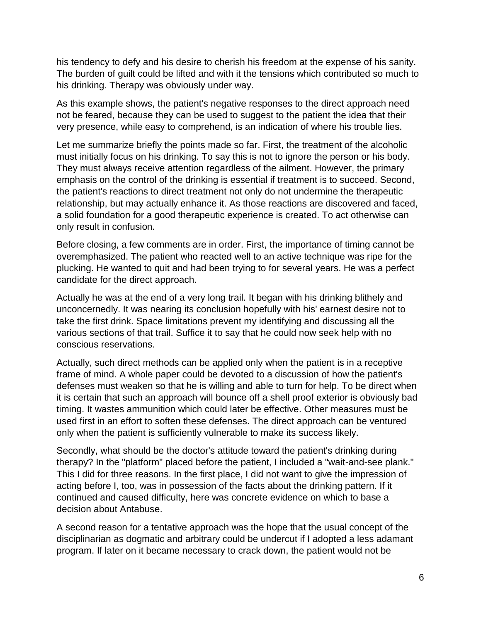his tendency to defy and his desire to cherish his freedom at the expense of his sanity. The burden of guilt could be lifted and with it the tensions which contributed so much to his drinking. Therapy was obviously under way.

As this example shows, the patient's negative responses to the direct approach need not be feared, because they can be used to suggest to the patient the idea that their very presence, while easy to comprehend, is an indication of where his trouble lies.

Let me summarize briefly the points made so far. First, the treatment of the alcoholic must initially focus on his drinking. To say this is not to ignore the person or his body. They must always receive attention regardless of the ailment. However, the primary emphasis on the control of the drinking is essential if treatment is to succeed. Second, the patient's reactions to direct treatment not only do not undermine the therapeutic relationship, but may actually enhance it. As those reactions are discovered and faced, a solid foundation for a good therapeutic experience is created. To act otherwise can only result in confusion.

Before closing, a few comments are in order. First, the importance of timing cannot be overemphasized. The patient who reacted well to an active technique was ripe for the plucking. He wanted to quit and had been trying to for several years. He was a perfect candidate for the direct approach.

Actually he was at the end of a very long trail. It began with his drinking blithely and unconcernedly. It was nearing its conclusion hopefully with his' earnest desire not to take the first drink. Space limitations prevent my identifying and discussing all the various sections of that trail. Suffice it to say that he could now seek help with no conscious reservations.

Actually, such direct methods can be applied only when the patient is in a receptive frame of mind. A whole paper could be devoted to a discussion of how the patient's defenses must weaken so that he is willing and able to turn for help. To be direct when it is certain that such an approach will bounce off a shell proof exterior is obviously bad timing. It wastes ammunition which could later be effective. Other measures must be used first in an effort to soften these defenses. The direct approach can be ventured only when the patient is sufficiently vulnerable to make its success likely.

Secondly, what should be the doctor's attitude toward the patient's drinking during therapy? In the "platform" placed before the patient, I included a "wait-and-see plank." This I did for three reasons. In the first place, I did not want to give the impression of acting before I, too, was in possession of the facts about the drinking pattern. If it continued and caused difficulty, here was concrete evidence on which to base a decision about Antabuse.

A second reason for a tentative approach was the hope that the usual concept of the disciplinarian as dogmatic and arbitrary could be undercut if I adopted a less adamant program. If later on it became necessary to crack down, the patient would not be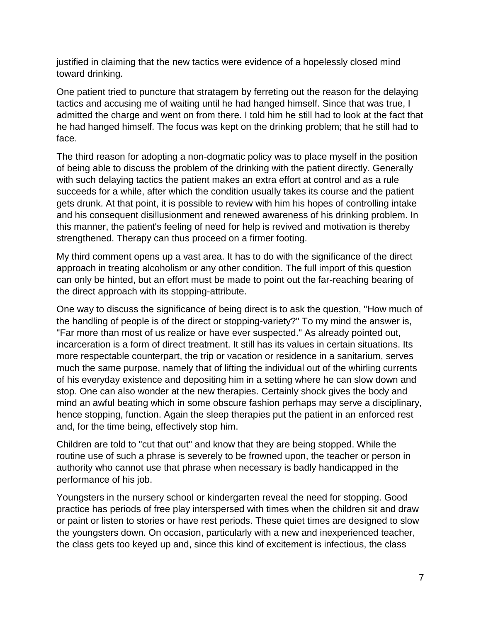justified in claiming that the new tactics were evidence of a hopelessly closed mind toward drinking.

One patient tried to puncture that stratagem by ferreting out the reason for the delaying tactics and accusing me of waiting until he had hanged himself. Since that was true, I admitted the charge and went on from there. I told him he still had to look at the fact that he had hanged himself. The focus was kept on the drinking problem; that he still had to face.

The third reason for adopting a non-dogmatic policy was to place myself in the position of being able to discuss the problem of the drinking with the patient directly. Generally with such delaying tactics the patient makes an extra effort at control and as a rule succeeds for a while, after which the condition usually takes its course and the patient gets drunk. At that point, it is possible to review with him his hopes of controlling intake and his consequent disillusionment and renewed awareness of his drinking problem. In this manner, the patient's feeling of need for help is revived and motivation is thereby strengthened. Therapy can thus proceed on a firmer footing.

My third comment opens up a vast area. It has to do with the significance of the direct approach in treating alcoholism or any other condition. The full import of this question can only be hinted, but an effort must be made to point out the far-reaching bearing of the direct approach with its stopping-attribute.

One way to discuss the significance of being direct is to ask the question, "How much of the handling of people is of the direct or stopping-variety?" To my mind the answer is, "Far more than most of us realize or have ever suspected." As already pointed out, incarceration is a form of direct treatment. It still has its values in certain situations. Its more respectable counterpart, the trip or vacation or residence in a sanitarium, serves much the same purpose, namely that of lifting the individual out of the whirling currents of his everyday existence and depositing him in a setting where he can slow down and stop. One can also wonder at the new therapies. Certainly shock gives the body and mind an awful beating which in some obscure fashion perhaps may serve a disciplinary, hence stopping, function. Again the sleep therapies put the patient in an enforced rest and, for the time being, effectively stop him.

Children are told to "cut that out" and know that they are being stopped. While the routine use of such a phrase is severely to be frowned upon, the teacher or person in authority who cannot use that phrase when necessary is badly handicapped in the performance of his job.

Youngsters in the nursery school or kindergarten reveal the need for stopping. Good practice has periods of free play interspersed with times when the children sit and draw or paint or listen to stories or have rest periods. These quiet times are designed to slow the youngsters down. On occasion, particularly with a new and inexperienced teacher, the class gets too keyed up and, since this kind of excitement is infectious, the class